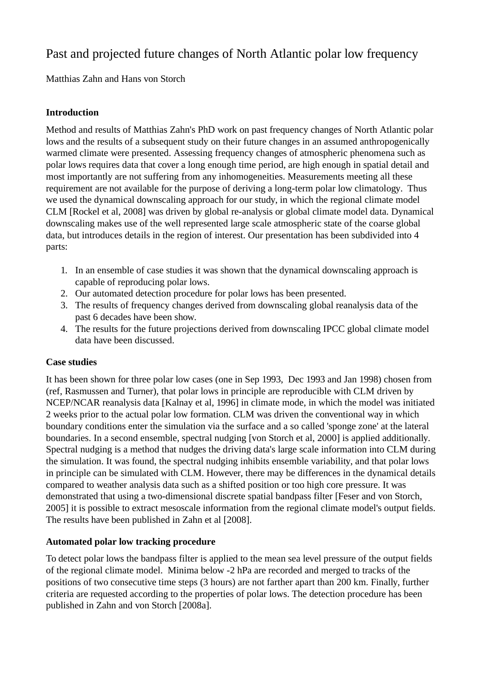# Past and projected future changes of North Atlantic polar low frequency

Matthias Zahn and Hans von Storch

## **Introduction**

Method and results of Matthias Zahn's PhD work on past frequency changes of North Atlantic polar lows and the results of a subsequent study on their future changes in an assumed anthropogenically warmed climate were presented. Assessing frequency changes of atmospheric phenomena such as polar lows requires data that cover a long enough time period, are high enough in spatial detail and most importantly are not suffering from any inhomogeneities. Measurements meeting all these requirement are not available for the purpose of deriving a long-term polar low climatology. Thus we used the dynamical downscaling approach for our study, in which the regional climate model CLM [Rockel et al, 2008] was driven by global re-analysis or global climate model data. Dynamical downscaling makes use of the well represented large scale atmospheric state of the coarse global data, but introduces details in the region of interest. Our presentation has been subdivided into 4 parts:

- 1. In an ensemble of case studies it was shown that the dynamical downscaling approach is capable of reproducing polar lows.
- 2. Our automated detection procedure for polar lows has been presented.
- 3. The results of frequency changes derived from downscaling global reanalysis data of the past 6 decades have been show.
- 4. The results for the future projections derived from downscaling IPCC global climate model data have been discussed.

## **Case studies**

It has been shown for three polar low cases (one in Sep 1993, Dec 1993 and Jan 1998) chosen from (ref, Rasmussen and Turner), that polar lows in principle are reproducible with CLM driven by NCEP/NCAR reanalysis data [Kalnay et al, 1996] in climate mode, in which the model was initiated 2 weeks prior to the actual polar low formation. CLM was driven the conventional way in which boundary conditions enter the simulation via the surface and a so called 'sponge zone' at the lateral boundaries. In a second ensemble, spectral nudging [von Storch et al, 2000] is applied additionally. Spectral nudging is a method that nudges the driving data's large scale information into CLM during the simulation. It was found, the spectral nudging inhibits ensemble variability, and that polar lows in principle can be simulated with CLM. However, there may be differences in the dynamical details compared to weather analysis data such as a shifted position or too high core pressure. It was demonstrated that using a two-dimensional discrete spatial bandpass filter [Feser and von Storch, 2005] it is possible to extract mesoscale information from the regional climate model's output fields. The results have been published in Zahn et al [2008].

## **Automated polar low tracking procedure**

To detect polar lows the bandpass filter is applied to the mean sea level pressure of the output fields of the regional climate model. Minima below -2 hPa are recorded and merged to tracks of the positions of two consecutive time steps (3 hours) are not farther apart than 200 km. Finally, further criteria are requested according to the properties of polar lows. The detection procedure has been published in Zahn and von Storch [2008a].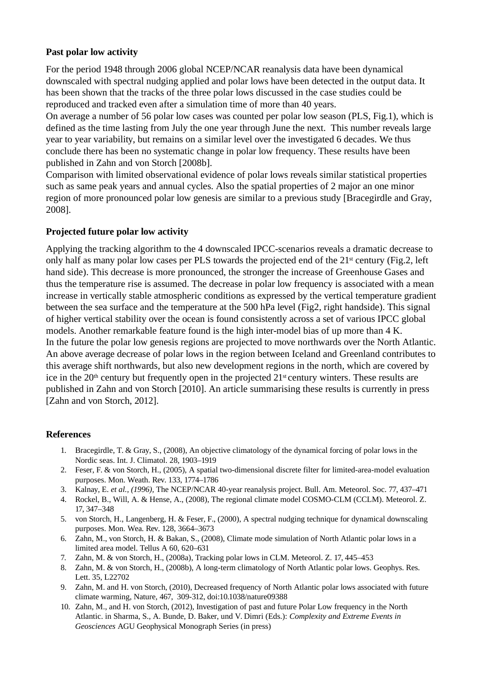#### **Past polar low activity**

For the period 1948 through 2006 global NCEP/NCAR reanalysis data have been dynamical downscaled with spectral nudging applied and polar lows have been detected in the output data. It has been shown that the tracks of the three polar lows discussed in the case studies could be reproduced and tracked even after a simulation time of more than 40 years.

On average a number of 56 polar low cases was counted per polar low season (PLS, Fig.1), which is defined as the time lasting from July the one year through June the next. This number reveals large year to year variability, but remains on a similar level over the investigated 6 decades. We thus conclude there has been no systematic change in polar low frequency. These results have been published in Zahn and von Storch [2008b].

Comparison with limited observational evidence of polar lows reveals similar statistical properties such as same peak years and annual cycles. Also the spatial properties of 2 major an one minor region of more pronounced polar low genesis are similar to a previous study [Bracegirdle and Gray, 2008].

## **Projected future polar low activity**

Applying the tracking algorithm to the 4 downscaled IPCC-scenarios reveals a dramatic decrease to only half as many polar low cases per PLS towards the projected end of the 21<sup>st</sup> century (Fig.2, left hand side). This decrease is more pronounced, the stronger the increase of Greenhouse Gases and thus the temperature rise is assumed. The decrease in polar low frequency is associated with a mean increase in vertically stable atmospheric conditions as expressed by the vertical temperature gradient between the sea surface and the temperature at the 500 hPa level (Fig2, right handside). This signal of higher vertical stability over the ocean is found consistently across a set of various IPCC global models. Another remarkable feature found is the high inter-model bias of up more than 4 K. In the future the polar low genesis regions are projected to move northwards over the North Atlantic. An above average decrease of polar lows in the region between Iceland and Greenland contributes to this average shift northwards, but also new development regions in the north, which are covered by ice in the 20<sup>th</sup> century but frequently open in the projected 21<sup>st</sup> century winters. These results are published in Zahn and von Storch [2010]. An article summarising these results is currently in press [Zahn and von Storch, 2012].

#### **References**

- 1. Bracegirdle, T. & Gray, S., (2008), An objective climatology of the dynamical forcing of polar lows in the Nordic seas. Int. J. Climatol. 28, 1903–1919
- 2. Feser, F. & von Storch, H., (2005), A spatial two-dimensional discrete filter for limited-area-model evaluation purposes. Mon. Weath. Rev. 133, 1774–1786
- 3. Kalnay, E. *et al., (1996),* The NCEP/NCAR 40-year reanalysis project. Bull. Am. Meteorol. Soc. 77, 437–471
- 4. Rockel, B., Will, A. & Hense, A., (2008), The regional climate model COSMO-CLM (CCLM). Meteorol. Z. 17, 347–348
- 5. von Storch, H., Langenberg, H. & Feser, F., (2000), A spectral nudging technique for dynamical downscaling purposes. Mon. Wea. Rev. 128, 3664–3673
- 6. Zahn, M., von Storch, H. & Bakan, S., (2008), Climate mode simulation of North Atlantic polar lows in a limited area model. Tellus A 60, 620–631
- 7. Zahn, M. & von Storch, H., (2008a), Tracking polar lows in CLM. Meteorol. Z. 17, 445–453
- 8. Zahn, M. & von Storch, H., (2008b), A long-term climatology of North Atlantic polar lows. Geophys. Res. Lett. 35, L22702
- 9. Zahn, M. and H. von Storch, (2010), Decreased frequency of North Atlantic polar lows associated with future climate warming, Nature, 467, 309-312, doi:10.1038/nature09388
- 10. Zahn, M., and H. von Storch, (2012), Investigation of past and future Polar Low frequency in the North Atlantic. in Sharma, S., A. Bunde, D. Baker, und V. Dimri (Eds.): *Complexity and Extreme Events in Geosciences* AGU Geophysical Monograph Series (in press)